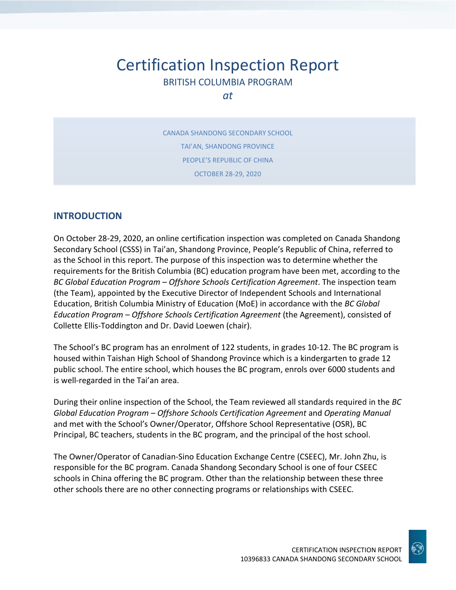# Certification Inspection Report BRITISH COLUMBIA PROGRAM

*at*

CANADA SHANDONG SECONDARY SCHOOL TAI'AN, SHANDONG PROVINCE PEOPLE'S REPUBLIC OF CHINA OCTOBER 28-29, 2020

## **INTRODUCTION**

On October 28-29, 2020, an online certification inspection was completed on Canada Shandong Secondary School (CSSS) in Tai'an, Shandong Province, People's Republic of China, referred to as the School in this report. The purpose of this inspection was to determine whether the requirements for the British Columbia (BC) education program have been met, according to the *BC Global Education Program – Offshore Schools Certification Agreement*. The inspection team (the Team), appointed by the Executive Director of Independent Schools and International Education, British Columbia Ministry of Education (MoE) in accordance with the *BC Global Education Program – Offshore Schools Certification Agreement* (the Agreement), consisted of Collette Ellis-Toddington and Dr. David Loewen (chair).

The School's BC program has an enrolment of 122 students, in grades 10-12. The BC program is housed within Taishan High School of Shandong Province which is a kindergarten to grade 12 public school. The entire school, which houses the BC program, enrols over 6000 students and is well-regarded in the Tai'an area.

During their online inspection of the School, the Team reviewed all standards required in the *BC Global Education Program – Offshore Schools Certification Agreement* and *Operating Manual*  and met with the School's Owner/Operator, Offshore School Representative (OSR), BC Principal, BC teachers, students in the BC program, and the principal of the host school.

The Owner/Operator of Canadian-Sino Education Exchange Centre (CSEEC), Mr. John Zhu, is responsible for the BC program. Canada Shandong Secondary School is one of four CSEEC schools in China offering the BC program. Other than the relationship between these three other schools there are no other connecting programs or relationships with CSEEC.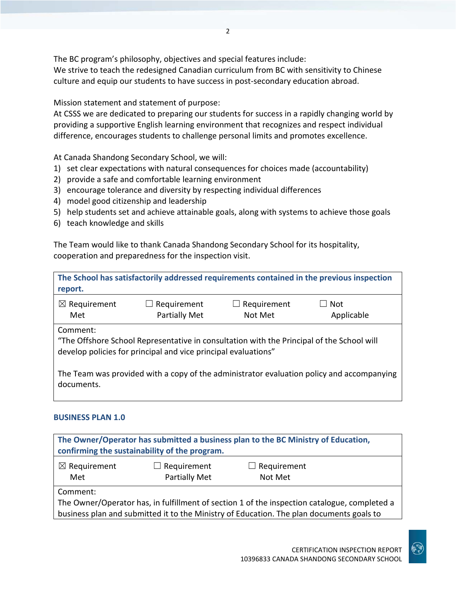The BC program's philosophy, objectives and special features include:

We strive to teach the redesigned Canadian curriculum from BC with sensitivity to Chinese culture and equip our students to have success in post-secondary education abroad.

Mission statement and statement of purpose:

At CSSS we are dedicated to preparing our students for success in a rapidly changing world by providing a supportive English learning environment that recognizes and respect individual difference, encourages students to challenge personal limits and promotes excellence.

At Canada Shandong Secondary School, we will:

- 1) set clear expectations with natural consequences for choices made (accountability)
- 2) provide a safe and comfortable learning environment
- 3) encourage tolerance and diversity by respecting individual differences
- 4) model good citizenship and leadership
- 5) help students set and achieve attainable goals, along with systems to achieve those goals
- 6) teach knowledge and skills

The Team would like to thank Canada Shandong Secondary School for its hospitality, cooperation and preparedness for the inspection visit.

| report.                        |                                                                                                                                                             |                        | The School has satisfactorily addressed requirements contained in the previous inspection |
|--------------------------------|-------------------------------------------------------------------------------------------------------------------------------------------------------------|------------------------|-------------------------------------------------------------------------------------------|
| $\boxtimes$ Requirement<br>Met | $\Box$ Requirement<br><b>Partially Met</b>                                                                                                                  | Requirement<br>Not Met | Not<br>Applicable                                                                         |
| Comment:                       | "The Offshore School Representative in consultation with the Principal of the School will<br>develop policies for principal and vice principal evaluations" |                        |                                                                                           |
| documents.                     |                                                                                                                                                             |                        | The Team was provided with a copy of the administrator evaluation policy and accompanying |

### **BUSINESS PLAN 1.0**

| The Owner/Operator has submitted a business plan to the BC Ministry of Education,<br>confirming the sustainability of the program. |  |                                                                                                                                                                                          |  |  |
|------------------------------------------------------------------------------------------------------------------------------------|--|------------------------------------------------------------------------------------------------------------------------------------------------------------------------------------------|--|--|
| $\boxtimes$ Requirement<br>$\Box$ Requirement<br>$\Box$ Requirement<br>Partially Met<br>Met<br>Not Met                             |  |                                                                                                                                                                                          |  |  |
| Comment:                                                                                                                           |  | The Owner/Operator has, in fulfillment of section 1 of the inspection catalogue, completed a<br>business plan and submitted it to the Ministry of Education. The plan documents goals to |  |  |

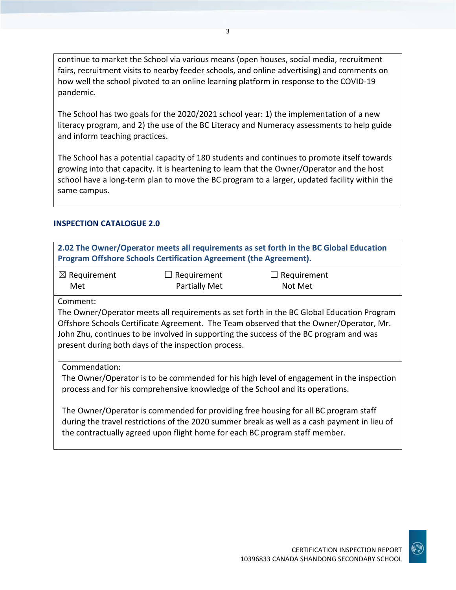continue to market the School via various means (open houses, social media, recruitment fairs, recruitment visits to nearby feeder schools, and online advertising) and comments on how well the school pivoted to an online learning platform in response to the COVID-19 pandemic.

The School has two goals for the 2020/2021 school year: 1) the implementation of a new literacy program, and 2) the use of the BC Literacy and Numeracy assessments to help guide and inform teaching practices.

The School has a potential capacity of 180 students and continues to promote itself towards growing into that capacity. It is heartening to learn that the Owner/Operator and the host school have a long-term plan to move the BC program to a larger, updated facility within the same campus.

#### **INSPECTION CATALOGUE 2.0**

| 2.02 The Owner/Operator meets all requirements as set forth in the BC Global Education                                                                                                                                                                                                                                               |                                                                             |                                                                                                                                                                                     |  |  |
|--------------------------------------------------------------------------------------------------------------------------------------------------------------------------------------------------------------------------------------------------------------------------------------------------------------------------------------|-----------------------------------------------------------------------------|-------------------------------------------------------------------------------------------------------------------------------------------------------------------------------------|--|--|
|                                                                                                                                                                                                                                                                                                                                      | Program Offshore Schools Certification Agreement (the Agreement).           |                                                                                                                                                                                     |  |  |
|                                                                                                                                                                                                                                                                                                                                      |                                                                             |                                                                                                                                                                                     |  |  |
| $\boxtimes$ Requirement                                                                                                                                                                                                                                                                                                              | $\Box$ Requirement                                                          | Requirement                                                                                                                                                                         |  |  |
| Met                                                                                                                                                                                                                                                                                                                                  | <b>Partially Met</b>                                                        | Not Met                                                                                                                                                                             |  |  |
| Comment:                                                                                                                                                                                                                                                                                                                             |                                                                             |                                                                                                                                                                                     |  |  |
| The Owner/Operator meets all requirements as set forth in the BC Global Education Program<br>Offshore Schools Certificate Agreement. The Team observed that the Owner/Operator, Mr.<br>John Zhu, continues to be involved in supporting the success of the BC program and was<br>present during both days of the inspection process. |                                                                             |                                                                                                                                                                                     |  |  |
| Commendation:                                                                                                                                                                                                                                                                                                                        |                                                                             |                                                                                                                                                                                     |  |  |
| The Owner/Operator is to be commended for his high level of engagement in the inspection<br>process and for his comprehensive knowledge of the School and its operations.                                                                                                                                                            |                                                                             |                                                                                                                                                                                     |  |  |
|                                                                                                                                                                                                                                                                                                                                      | the contractually agreed upon flight home for each BC program staff member. | The Owner/Operator is commended for providing free housing for all BC program staff<br>during the travel restrictions of the 2020 summer break as well as a cash payment in lieu of |  |  |

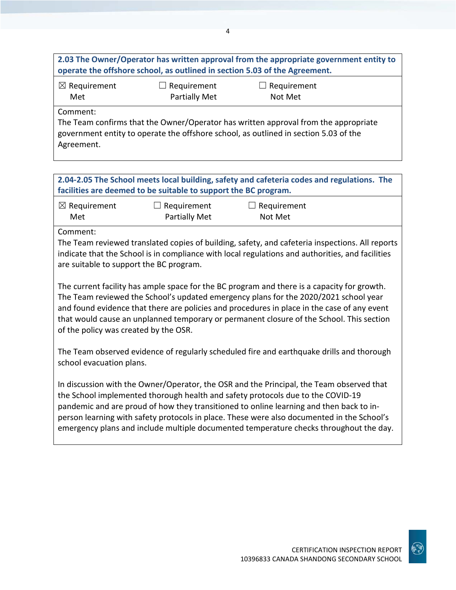|                     |                                                                            | 2.03 The Owner/Operator has written approval from the appropriate government entity to |
|---------------------|----------------------------------------------------------------------------|----------------------------------------------------------------------------------------|
|                     | operate the offshore school, as outlined in section 5.03 of the Agreement. |                                                                                        |
| $\nabla$ Bosingnont | $\Box$ Desubsection                                                        | $\Box$ Demolucional                                                                    |

4

☒ Requirement Met

 $\Box$  Requirement Partially Met  $\Box$  Requirement Not Met

Comment:

The Team confirms that the Owner/Operator has written approval from the appropriate government entity to operate the offshore school, as outlined in section 5.03 of the Agreement.

| 2.04-2.05 The School meets local building, safety and cafeteria codes and regulations. The |  |
|--------------------------------------------------------------------------------------------|--|
| facilities are deemed to be suitable to support the BC program.                            |  |

| $\boxtimes$ Requirement | $\Box$ Requirement   | $\Box$ |
|-------------------------|----------------------|--------|
| Met                     | <b>Partially Met</b> |        |

**Requirement** Not Met

Comment:

The Team reviewed translated copies of building, safety, and cafeteria inspections. All reports indicate that the School is in compliance with local regulations and authorities, and facilities are suitable to support the BC program.

The current facility has ample space for the BC program and there is a capacity for growth. The Team reviewed the School's updated emergency plans for the 2020/2021 school year and found evidence that there are policies and procedures in place in the case of any event that would cause an unplanned temporary or permanent closure of the School. This section of the policy was created by the OSR.

The Team observed evidence of regularly scheduled fire and earthquake drills and thorough school evacuation plans.

In discussion with the Owner/Operator, the OSR and the Principal, the Team observed that the School implemented thorough health and safety protocols due to the COVID-19 pandemic and are proud of how they transitioned to online learning and then back to inperson learning with safety protocols in place. These were also documented in the School's emergency plans and include multiple documented temperature checks throughout the day.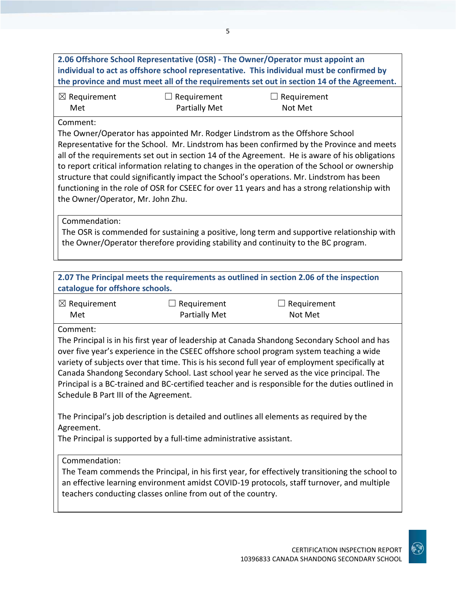**2.06 Offshore School Representative (OSR) - The Owner/Operator must appoint an individual to act as offshore school representative. This individual must be confirmed by the province and must meet all of the requirements set out in section 14 of the Agreement.**

| $\boxtimes$ Requirement | $\Box$ Requirement   | $\Box$ Requirement |
|-------------------------|----------------------|--------------------|
| Met                     | <b>Partially Met</b> | Not Met            |

#### Comment:

The Owner/Operator has appointed Mr. Rodger Lindstrom as the Offshore School Representative for the School. Mr. Lindstrom has been confirmed by the Province and meets all of the requirements set out in section 14 of the Agreement. He is aware of his obligations to report critical information relating to changes in the operation of the School or ownership structure that could significantly impact the School's operations. Mr. Lindstrom has been functioning in the role of OSR for CSEEC for over 11 years and has a strong relationship with the Owner/Operator, Mr. John Zhu.

Commendation:

The OSR is commended for sustaining a positive, long term and supportive relationship with the Owner/Operator therefore providing stability and continuity to the BC program.

| catalogue for offshore schools.                                                                                                                                               |                                                             | 2.07 The Principal meets the requirements as outlined in section 2.06 of the inspection                                                                                                                                                                                                                                                                                                                                                                                                  |
|-------------------------------------------------------------------------------------------------------------------------------------------------------------------------------|-------------------------------------------------------------|------------------------------------------------------------------------------------------------------------------------------------------------------------------------------------------------------------------------------------------------------------------------------------------------------------------------------------------------------------------------------------------------------------------------------------------------------------------------------------------|
| $\boxtimes$ Requirement<br>Met                                                                                                                                                | Requirement<br><b>Partially Met</b>                         | Requirement<br>Not Met                                                                                                                                                                                                                                                                                                                                                                                                                                                                   |
| Comment:<br>Schedule B Part III of the Agreement.                                                                                                                             |                                                             | The Principal is in his first year of leadership at Canada Shandong Secondary School and has<br>over five year's experience in the CSEEC offshore school program system teaching a wide<br>variety of subjects over that time. This is his second full year of employment specifically at<br>Canada Shandong Secondary School. Last school year he served as the vice principal. The<br>Principal is a BC-trained and BC-certified teacher and is responsible for the duties outlined in |
| The Principal's job description is detailed and outlines all elements as required by the<br>Agreement.<br>The Principal is supported by a full-time administrative assistant. |                                                             |                                                                                                                                                                                                                                                                                                                                                                                                                                                                                          |
| Commendation:                                                                                                                                                                 | teachers conducting classes online from out of the country. | The Team commends the Principal, in his first year, for effectively transitioning the school to<br>an effective learning environment amidst COVID-19 protocols, staff turnover, and multiple                                                                                                                                                                                                                                                                                             |

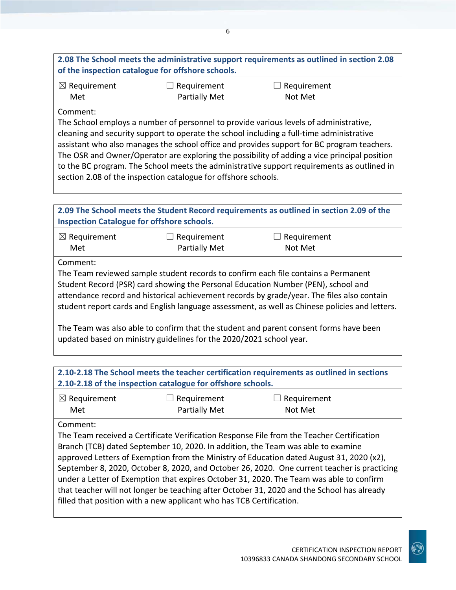## **2.08 The School meets the administrative support requirements as outlined in section 2.08 of the inspection catalogue for offshore schools.**

| $\boxtimes$ Requirement | $\Box$ Requirement | $\Box$ Requirement |
|-------------------------|--------------------|--------------------|
| Met                     | Partially Met      | Not Met            |

#### Comment:

The School employs a number of personnel to provide various levels of administrative, cleaning and security support to operate the school including a full-time administrative assistant who also manages the school office and provides support for BC program teachers. The OSR and Owner/Operator are exploring the possibility of adding a vice principal position to the BC program. The School meets the administrative support requirements as outlined in section 2.08 of the inspection catalogue for offshore schools.

| 2.09 The School meets the Student Record requirements as outlined in section 2.09 of the<br><b>Inspection Catalogue for offshore schools.</b> |               |                                                                                                                                                                                                                                                                                                                                                                         |  |
|-----------------------------------------------------------------------------------------------------------------------------------------------|---------------|-------------------------------------------------------------------------------------------------------------------------------------------------------------------------------------------------------------------------------------------------------------------------------------------------------------------------------------------------------------------------|--|
| $\boxtimes$ Requirement                                                                                                                       | Requirement   | $\Box$ Requirement                                                                                                                                                                                                                                                                                                                                                      |  |
| Met                                                                                                                                           | Partially Met | Not Met                                                                                                                                                                                                                                                                                                                                                                 |  |
| Comment:                                                                                                                                      |               | The Team reviewed sample student records to confirm each file contains a Permanent<br>Student Record (PSR) card showing the Personal Education Number (PEN), school and<br>attendance record and historical achievement records by grade/year. The files also contain<br>student report cards and English language assessment, as well as Chinese policies and letters. |  |
|                                                                                                                                               |               | The Team was also able to confirm that the student and parent consent forms have been                                                                                                                                                                                                                                                                                   |  |

To confirm that the student and parent consent forms have been updated based on ministry guidelines for the 2020/2021 school year.

| 2.10-2.18 The School meets the teacher certification requirements as outlined in sections   |                                                                                           |                                                                                            |  |  |
|---------------------------------------------------------------------------------------------|-------------------------------------------------------------------------------------------|--------------------------------------------------------------------------------------------|--|--|
|                                                                                             | 2.10-2.18 of the inspection catalogue for offshore schools.                               |                                                                                            |  |  |
| $\boxtimes$ Requirement                                                                     | Requirement                                                                               | Requirement                                                                                |  |  |
| Met                                                                                         | <b>Partially Met</b>                                                                      | Not Met                                                                                    |  |  |
| Comment:                                                                                    |                                                                                           |                                                                                            |  |  |
|                                                                                             | The Team received a Certificate Verification Response File from the Teacher Certification |                                                                                            |  |  |
| Branch (TCB) dated September 10, 2020. In addition, the Team was able to examine            |                                                                                           |                                                                                            |  |  |
| approved Letters of Exemption from the Ministry of Education dated August 31, 2020 (x2),    |                                                                                           |                                                                                            |  |  |
| September 8, 2020, October 8, 2020, and October 26, 2020. One current teacher is practicing |                                                                                           |                                                                                            |  |  |
|                                                                                             |                                                                                           | under a Letter of Exemption that expires October 31, 2020. The Team was able to confirm    |  |  |
|                                                                                             |                                                                                           | that teacher will not longer be teaching after October 31, 2020 and the School has already |  |  |
|                                                                                             | filled that position with a new applicant who has TCB Certification.                      |                                                                                            |  |  |
|                                                                                             |                                                                                           |                                                                                            |  |  |

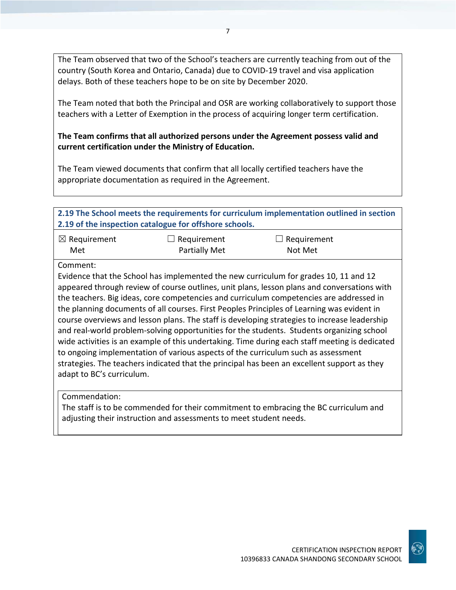The Team observed that two of the School's teachers are currently teaching from out of the country (South Korea and Ontario, Canada) due to COVID-19 travel and visa application delays. Both of these teachers hope to be on site by December 2020.

The Team noted that both the Principal and OSR are working collaboratively to support those teachers with a Letter of Exemption in the process of acquiring longer term certification.

**The Team confirms that all authorized persons under the Agreement possess valid and current certification under the Ministry of Education.**

The Team viewed documents that confirm that all locally certified teachers have the appropriate documentation as required in the Agreement.

| 2.19 The School meets the requirements for curriculum implementation outlined in section<br>2.19 of the inspection catalogue for offshore schools. |                      |                                                                                                                                                                                                                                                                                                                                                                                                                                                                                                                                                                                                                                                                                                                                                                                                                                                                 |  |
|----------------------------------------------------------------------------------------------------------------------------------------------------|----------------------|-----------------------------------------------------------------------------------------------------------------------------------------------------------------------------------------------------------------------------------------------------------------------------------------------------------------------------------------------------------------------------------------------------------------------------------------------------------------------------------------------------------------------------------------------------------------------------------------------------------------------------------------------------------------------------------------------------------------------------------------------------------------------------------------------------------------------------------------------------------------|--|
| $\boxtimes$ Requirement                                                                                                                            | Requirement          | Requirement                                                                                                                                                                                                                                                                                                                                                                                                                                                                                                                                                                                                                                                                                                                                                                                                                                                     |  |
| Met                                                                                                                                                | <b>Partially Met</b> | Not Met                                                                                                                                                                                                                                                                                                                                                                                                                                                                                                                                                                                                                                                                                                                                                                                                                                                         |  |
| Comment:<br>adapt to BC's curriculum.                                                                                                              |                      | Evidence that the School has implemented the new curriculum for grades 10, 11 and 12<br>appeared through review of course outlines, unit plans, lesson plans and conversations with<br>the teachers. Big ideas, core competencies and curriculum competencies are addressed in<br>the planning documents of all courses. First Peoples Principles of Learning was evident in<br>course overviews and lesson plans. The staff is developing strategies to increase leadership<br>and real-world problem-solving opportunities for the students. Students organizing school<br>wide activities is an example of this undertaking. Time during each staff meeting is dedicated<br>to ongoing implementation of various aspects of the curriculum such as assessment<br>strategies. The teachers indicated that the principal has been an excellent support as they |  |
| Commendation:                                                                                                                                      |                      | $\mathbf{r} = \mathbf{r} \cdot \mathbf{r}$ , and the contract of the contract of the contract of the contract of the contract of the contract of the contract of the contract of the contract of the contract of the contract of the contract of                                                                                                                                                                                                                                                                                                                                                                                                                                                                                                                                                                                                                |  |

The staff is to be commended for their commitment to embracing the BC curriculum and adjusting their instruction and assessments to meet student needs.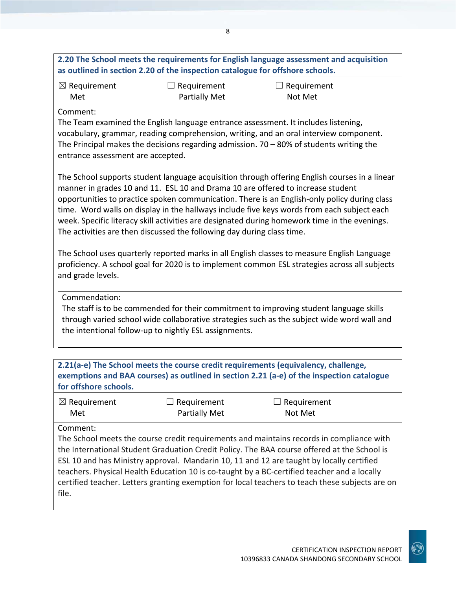|                                                                                                                                                                                                                                                                                                                                                                                                                                                                                                                                                           |                                                                               | 2.20 The School meets the requirements for English language assessment and acquisition                                                                                                                                                                                                                                                                                                                                                                                                |  |
|-----------------------------------------------------------------------------------------------------------------------------------------------------------------------------------------------------------------------------------------------------------------------------------------------------------------------------------------------------------------------------------------------------------------------------------------------------------------------------------------------------------------------------------------------------------|-------------------------------------------------------------------------------|---------------------------------------------------------------------------------------------------------------------------------------------------------------------------------------------------------------------------------------------------------------------------------------------------------------------------------------------------------------------------------------------------------------------------------------------------------------------------------------|--|
|                                                                                                                                                                                                                                                                                                                                                                                                                                                                                                                                                           | as outlined in section 2.20 of the inspection catalogue for offshore schools. |                                                                                                                                                                                                                                                                                                                                                                                                                                                                                       |  |
| $\boxtimes$ Requirement                                                                                                                                                                                                                                                                                                                                                                                                                                                                                                                                   | $\Box$ Requirement                                                            | $\Box$ Requirement                                                                                                                                                                                                                                                                                                                                                                                                                                                                    |  |
| Met                                                                                                                                                                                                                                                                                                                                                                                                                                                                                                                                                       | <b>Partially Met</b>                                                          | Not Met                                                                                                                                                                                                                                                                                                                                                                                                                                                                               |  |
| Comment:<br>The Team examined the English language entrance assessment. It includes listening,<br>vocabulary, grammar, reading comprehension, writing, and an oral interview component.<br>The Principal makes the decisions regarding admission. $70 - 80\%$ of students writing the<br>entrance assessment are accepted.                                                                                                                                                                                                                                |                                                                               |                                                                                                                                                                                                                                                                                                                                                                                                                                                                                       |  |
| The School supports student language acquisition through offering English courses in a linear<br>manner in grades 10 and 11. ESL 10 and Drama 10 are offered to increase student<br>opportunities to practice spoken communication. There is an English-only policy during class<br>time. Word walls on display in the hallways include five keys words from each subject each<br>week. Specific literacy skill activities are designated during homework time in the evenings.<br>The activities are then discussed the following day during class time. |                                                                               |                                                                                                                                                                                                                                                                                                                                                                                                                                                                                       |  |
| The School uses quarterly reported marks in all English classes to measure English Language<br>proficiency. A school goal for 2020 is to implement common ESL strategies across all subjects<br>and grade levels.                                                                                                                                                                                                                                                                                                                                         |                                                                               |                                                                                                                                                                                                                                                                                                                                                                                                                                                                                       |  |
| Commendation:<br>The staff is to be commended for their commitment to improving student language skills<br>through varied school wide collaborative strategies such as the subject wide word wall and<br>the intentional follow-up to nightly ESL assignments.                                                                                                                                                                                                                                                                                            |                                                                               |                                                                                                                                                                                                                                                                                                                                                                                                                                                                                       |  |
| 2.21(a-e) The School meets the course credit requirements (equivalency, challenge,<br>exemptions and BAA courses) as outlined in section 2.21 (a-e) of the inspection catalogue<br>for offshore schools.                                                                                                                                                                                                                                                                                                                                                  |                                                                               |                                                                                                                                                                                                                                                                                                                                                                                                                                                                                       |  |
| $\boxtimes$ Requirement<br>Met                                                                                                                                                                                                                                                                                                                                                                                                                                                                                                                            | Requirement<br>Partially Met                                                  | Requirement<br>Not Met                                                                                                                                                                                                                                                                                                                                                                                                                                                                |  |
| Comment:                                                                                                                                                                                                                                                                                                                                                                                                                                                                                                                                                  |                                                                               | The School meets the course credit requirements and maintains records in compliance with<br>the International Student Graduation Credit Policy. The BAA course offered at the School is<br>ESL 10 and has Ministry approval. Mandarin 10, 11 and 12 are taught by locally certified<br>teachers. Physical Health Education 10 is co-taught by a BC-certified teacher and a locally<br>certified teacher. Letters granting exemption for local teachers to teach these subjects are on |  |

file.

8

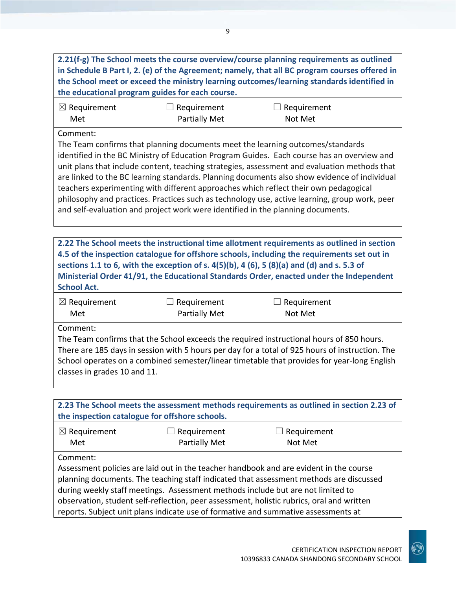| 2.21(f-g) The School meets the course overview/course planning requirements as outlined       |
|-----------------------------------------------------------------------------------------------|
| in Schedule B Part I, 2. (e) of the Agreement; namely, that all BC program courses offered in |
| the School meet or exceed the ministry learning outcomes/learning standards identified in     |
| the educational program guides for each course.                                               |
|                                                                                               |

| $\boxtimes$ Requirement | $\Box$ Requirement   | $\Box$ Requirement |
|-------------------------|----------------------|--------------------|
| Met                     | <b>Partially Met</b> | Not Met            |

#### Comment:

The Team confirms that planning documents meet the learning outcomes/standards identified in the BC Ministry of Education Program Guides. Each course has an overview and unit plans that include content, teaching strategies, assessment and evaluation methods that are linked to the BC learning standards. Planning documents also show evidence of individual teachers experimenting with different approaches which reflect their own pedagogical philosophy and practices. Practices such as technology use, active learning, group work, peer and self-evaluation and project work were identified in the planning documents.

**2.22 The School meets the instructional time allotment requirements as outlined in section 4.5 of the inspection catalogue for offshore schools, including the requirements set out in sections 1.1 to 6, with the exception of s. 4(5)(b), 4 (6), 5 (8)(a) and (d) and s. 5.3 of Ministerial Order 41/91, the Educational Standards Order, enacted under the Independent School Act.**

| $\boxtimes$ Requirement | $\Box$ Requirement | $\Box$ Requirement |
|-------------------------|--------------------|--------------------|
| Met                     | Partially Met      | Not Met            |

Comment:

The Team confirms that the School exceeds the required instructional hours of 850 hours. There are 185 days in session with 5 hours per day for a total of 925 hours of instruction. The School operates on a combined semester/linear timetable that provides for year-long English classes in grades 10 and 11.

**2.23 The School meets the assessment methods requirements as outlined in section 2.23 of the inspection catalogue for offshore schools.**

| $\boxtimes$ Requirement | $\Box$ Requirement   | $\Box$ Requirement |
|-------------------------|----------------------|--------------------|
| Met                     | <b>Partially Met</b> | Not Met            |

Comment:

Assessment policies are laid out in the teacher handbook and are evident in the course planning documents. The teaching staff indicated that assessment methods are discussed during weekly staff meetings. Assessment methods include but are not limited to observation, student self-reflection, peer assessment, holistic rubrics, oral and written reports. Subject unit plans indicate use of formative and summative assessments at

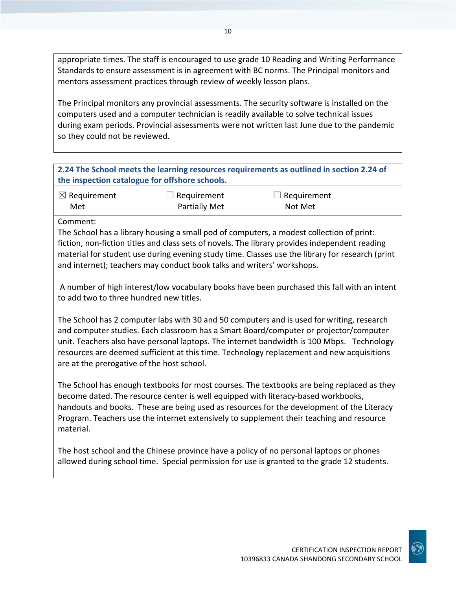appropriate times. The staff is encouraged to use grade 10 Reading and Writing Performance Standards to ensure assessment is in agreement with BC norms. The Principal monitors and mentors assessment practices through review of weekly lesson plans.

The Principal monitors any provincial assessments. The security software is installed on the computers used and a computer technician is readily available to solve technical issues during exam periods. Provincial assessments were not written last June due to the pandemic so they could not be reviewed.

| 2.24 The School meets the learning resources requirements as outlined in section 2.24 of |  |
|------------------------------------------------------------------------------------------|--|
| the inspection catalogue for offshore schools.                                           |  |

| $\boxtimes$ Requirement | $\Box$ Requirement   | $\Box$ Requirement |
|-------------------------|----------------------|--------------------|
| Met                     | <b>Partially Met</b> | Not Met            |

Comment:

The School has a library housing a small pod of computers, a modest collection of print: fiction, non-fiction titles and class sets of novels. The library provides independent reading material for student use during evening study time. Classes use the library for research (print and internet); teachers may conduct book talks and writers' workshops.

A number of high interest/low vocabulary books have been purchased this fall with an intent to add two to three hundred new titles.

The School has 2 computer labs with 30 and 50 computers and is used for writing, research and computer studies. Each classroom has a Smart Board/computer or projector/computer unit. Teachers also have personal laptops. The internet bandwidth is 100 Mbps. Technology resources are deemed sufficient at this time. Technology replacement and new acquisitions are at the prerogative of the host school.

The School has enough textbooks for most courses. The textbooks are being replaced as they become dated. The resource center is well equipped with literacy-based workbooks, handouts and books. These are being used as resources for the development of the Literacy Program. Teachers use the internet extensively to supplement their teaching and resource material.

The host school and the Chinese province have a policy of no personal laptops or phones allowed during school time. Special permission for use is granted to the grade 12 students.

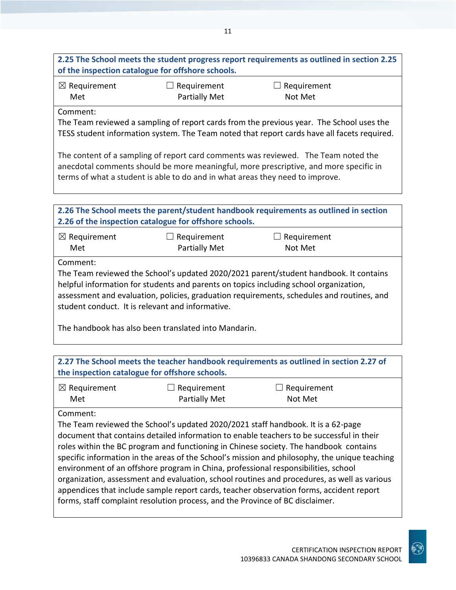#### ☒ Requirement Met  $\Box$  Requirement Partially Met  $\Box$  Requirement Not Met Comment: The Team reviewed a sampling of report cards from the previous year. The School uses the TESS student information system. The Team noted that report cards have all facets required. The content of a sampling of report card comments was reviewed. The Team noted the anecdotal comments should be more meaningful, more prescriptive, and more specific in terms of what a student is able to do and in what areas they need to improve. **2.26 The School meets the parent/student handbook requirements as outlined in section 2.26 of the inspection catalogue for offshore schools.** ☒ Requirement Met  $\Box$  Requirement Partially Met  $\Box$  Requirement Not Met Comment: The Team reviewed the School's updated 2020/2021 parent/student handbook. It contains helpful information for students and parents on topics including school organization, assessment and evaluation, policies, graduation requirements, schedules and routines, and student conduct. It is relevant and informative. The handbook has also been translated into Mandarin. **2.27 The School meets the teacher handbook requirements as outlined in section 2.27 of the inspection catalogue for offshore schools.** ☒ Requirement Met  $\Box$  Requirement Partially Met  $\Box$  Requirement Not Met Comment: The Team reviewed the School's updated 2020/2021 staff handbook. It is a 62-page document that contains detailed information to enable teachers to be successful in their roles within the BC program and functioning in Chinese society. The handbook contains specific information in the areas of the School's mission and philosophy, the unique teaching environment of an offshore program in China, professional responsibilities, school

organization, assessment and evaluation, school routines and procedures, as well as various appendices that include sample report cards, teacher observation forms, accident report forms, staff complaint resolution process, and the Province of BC disclaimer.



**2.25 The School meets the student progress report requirements as outlined in section 2.25**

**of the inspection catalogue for offshore schools.**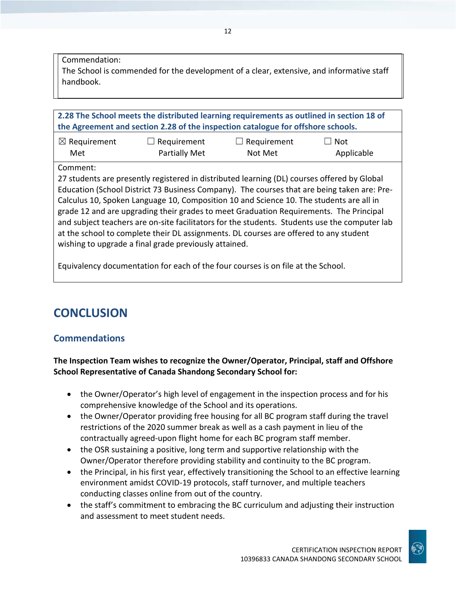Commendation:

The School is commended for the development of a clear, extensive, and informative staff handbook.

12

**2.28 The School meets the distributed learning requirements as outlined in section 18 of the Agreement and section 2.28 of the inspection catalogue for offshore schools.**

| $\boxtimes$ Requirement | $\Box$ Requirement   | $\Box$ Requirement | $\Box$ Not |
|-------------------------|----------------------|--------------------|------------|
| Met                     | <b>Partially Met</b> | Not Met            | Applicable |

Comment:

27 students are presently registered in distributed learning (DL) courses offered by Global Education (School District 73 Business Company). The courses that are being taken are: Pre-Calculus 10, Spoken Language 10, Composition 10 and Science 10. The students are all in grade 12 and are upgrading their grades to meet Graduation Requirements. The Principal and subject teachers are on-site facilitators for the students. Students use the computer lab at the school to complete their DL assignments. DL courses are offered to any student wishing to upgrade a final grade previously attained.

Equivalency documentation for each of the four courses is on file at the School.

# **CONCLUSION**

# **Commendations**

**The Inspection Team wishes to recognize the Owner/Operator, Principal, staff and Offshore School Representative of Canada Shandong Secondary School for:**

- the Owner/Operator's high level of engagement in the inspection process and for his comprehensive knowledge of the School and its operations.
- the Owner/Operator providing free housing for all BC program staff during the travel restrictions of the 2020 summer break as well as a cash payment in lieu of the contractually agreed-upon flight home for each BC program staff member.
- the OSR sustaining a positive, long term and supportive relationship with the Owner/Operator therefore providing stability and continuity to the BC program.
- the Principal, in his first year, effectively transitioning the School to an effective learning environment amidst COVID-19 protocols, staff turnover, and multiple teachers conducting classes online from out of the country.
- the staff's commitment to embracing the BC curriculum and adjusting their instruction and assessment to meet student needs.